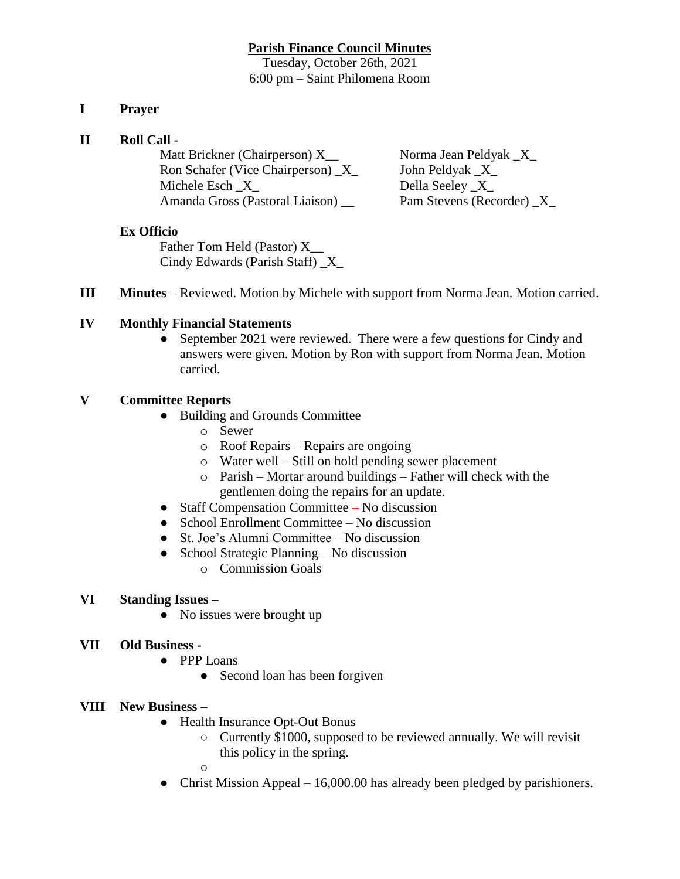#### **Parish Finance Council Minutes**

Tuesday, October 26th, 2021 6:00 pm – Saint Philomena Room

## **I Prayer**

#### **II Roll Call -**

Matt Brickner (Chairperson) X\_\_ Norma Jean Peldyak \_X\_ Ron Schafer (Vice Chairperson) \_X\_ John Peldyak \_X\_ Michele Esch  $X$  Della Seeley  $X$ Amanda Gross (Pastoral Liaison) \_\_ Pam Stevens (Recorder) \_X\_

## **Ex Officio**

Father Tom Held (Pastor) X\_\_ Cindy Edwards (Parish Staff) \_X\_

**III Minutes** – Reviewed. Motion by Michele with support from Norma Jean. Motion carried.

## **IV Monthly Financial Statements**

• September 2021 were reviewed. There were a few questions for Cindy and answers were given. Motion by Ron with support from Norma Jean. Motion carried.

## **V Committee Reports**

- Building and Grounds Committee
	- o Sewer
	- o Roof Repairs Repairs are ongoing
	- o Water well Still on hold pending sewer placement
	- o Parish Mortar around buildings Father will check with the gentlemen doing the repairs for an update.
- Staff Compensation Committee No discussion
- School Enrollment Committee No discussion
- St. Joe's Alumni Committee No discussion
- School Strategic Planning No discussion
	- o Commission Goals

# **VI Standing Issues –**

• No issues were brought up

# **VII Old Business -**

- PPP Loans
	- Second loan has been forgiven

# **VIII New Business –**

- Health Insurance Opt-Out Bonus
	- Currently \$1000, supposed to be reviewed annually. We will revisit this policy in the spring.

 $\circ$ 

• Christ Mission Appeal – 16,000.00 has already been pledged by parishioners.